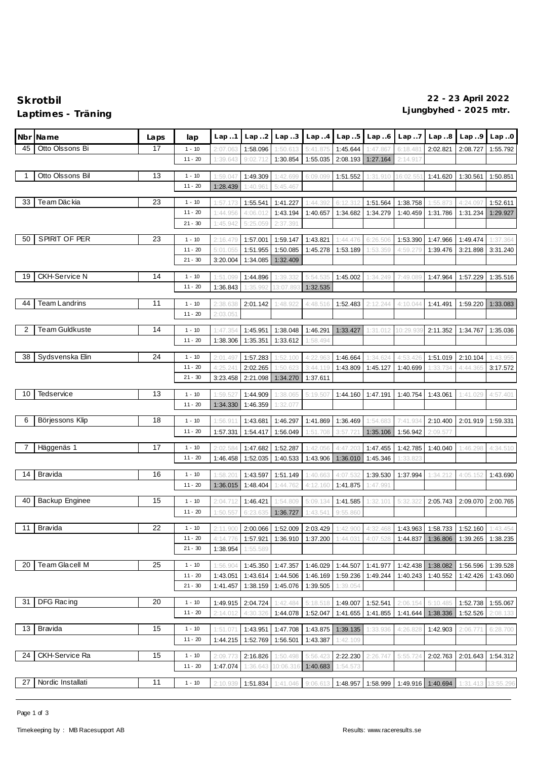## **Ljungbyhed - 2025 mtr. Laptimes - Träning**

| Nbr | Name                  | Laps | lap       | Lap1     | Lap.2    | Lap.3     | Lap.4    | Lap.5               | Lap.6                                                                                     | Lap.7    | Lap.8                                | Lap.9    | Lap.0    |
|-----|-----------------------|------|-----------|----------|----------|-----------|----------|---------------------|-------------------------------------------------------------------------------------------|----------|--------------------------------------|----------|----------|
| 45  | Otto Olssons Bi       | 17   | $1 - 10$  | 2:07.063 | 1:58.096 | 1:50.613  | 5:41.875 | 1:45.644            | 1:47.867                                                                                  | 6:18.48  | 2:02.821                             | 2:08.727 | 1:55.792 |
|     |                       |      | $11 - 20$ | 1:39.643 | 9:02.712 | 1:30.854  | 1:55.035 | 2:08.193            | 1:27.164                                                                                  | 2:14.917 |                                      |          |          |
|     |                       |      |           |          |          |           |          |                     |                                                                                           |          |                                      |          |          |
|     | Otto Olssons Bil      | 13   | $1 - 10$  | 1:59.047 | 1:49.309 | 1:42.699  | 6:09.099 | 1:51.552            | 1:31.910                                                                                  | 16:02.55 | 1:41.620                             | 1:30.561 | 1:50.851 |
|     |                       |      | $11 - 20$ | 1:28.439 | 1:40.961 | 5:45.467  |          |                     |                                                                                           |          |                                      |          |          |
| 33  | Te am Däckia          | 23   | $1 - 10$  | 1:57.173 | 1:55.541 | 1:41.227  | 1:44.392 | 6:12.31             | 1:51.564                                                                                  | 1:38.758 | 1:55.873                             | 4:24.097 | 1:52.611 |
|     |                       |      | $11 - 20$ | 1:44.956 | 4:06.012 | 1:43.194  | 1:40.657 | 1:34.682            | 1:34.279                                                                                  | 1:40.459 | 1:31.786                             | 1:31.234 | 1:29.927 |
|     |                       |      | $21 - 30$ | 1:45.942 | 5:25.059 | 2:37.391  |          |                     |                                                                                           |          |                                      |          |          |
|     |                       |      |           |          |          |           |          |                     |                                                                                           |          |                                      |          |          |
| 50  | SPIRIT OF PER         | 23   | $1 - 10$  | 2:16.479 | 1:57.001 | 1:59.147  | 1:43.821 | 1:44.476            | 6:26.506                                                                                  | 1:53.390 | 1:47.966                             | 1:49.474 | 1:37.364 |
|     |                       |      | $11 - 20$ | 5:01.055 | 1:51.955 | 1:50.085  | 1:45.278 | 1:53.189            | 1:53.359                                                                                  | 4:59.279 | 1:39.476                             | 3:21.898 | 3:31.240 |
|     |                       |      | $21 - 30$ | 3:20.004 | 1:34.085 | 1:32.409  |          |                     |                                                                                           |          |                                      |          |          |
| 19  | <b>CKH-Service N</b>  | 14   | $1 - 10$  | 1:51.09  | 1:44.896 | 1:39.332  | 5:54.535 | 1:45.002            | 1:34.249                                                                                  | 7:49.08  | 1:47.964                             | 1:57.229 | 1:35.516 |
|     |                       |      | $11 - 20$ | 1:36.843 | 1:35.992 | 13:07.89  | 1:32.535 |                     |                                                                                           |          |                                      |          |          |
|     |                       |      |           |          |          |           |          |                     |                                                                                           |          |                                      |          |          |
| 44  | <b>Team Landrins</b>  | 11   | $1 - 10$  | 2:38.638 | 2:01.142 | 1:48.92   | 4:48.516 | 1:52.483            | 2:12.244                                                                                  | 4:10.044 | 1:41.491                             | 1:59.220 | 1:33.083 |
|     |                       |      | $11 - 20$ | 2:03.05' |          |           |          |                     |                                                                                           |          |                                      |          |          |
| 2   | Team Guldkuste        | 14   | $1 - 10$  | 1:47.35  | 1:45.951 | 1:38.048  | 1:46.291 | 1:33.427            | 1:31.012                                                                                  | 10:29.93 | 2:11.352                             | 1:34.767 | 1:35.036 |
|     |                       |      | $11 - 20$ | 1:38.306 | 1:35.351 | 1:33.612  | 1:58.494 |                     |                                                                                           |          |                                      |          |          |
|     |                       |      |           |          |          |           |          |                     |                                                                                           |          |                                      |          |          |
| 38  | Sydsvenska Elin       | 24   | $1 - 10$  | 2:01.497 | 1:57.283 | 1:52.100  | 4:22.963 | 1:46.664            | 1:34.624                                                                                  | 4:53.426 | 1:51.019                             | 2:10.104 | 1:43.955 |
|     |                       |      | $11 - 20$ | 4:25.24' | 2:02.265 | 1:50.623  | 3:44.119 | 1:43.809            | 1:45.127                                                                                  | 1:40.699 | 1:33.734                             | 4:44.365 | 3:17.572 |
|     |                       |      | $21 - 30$ | 3:23.458 | 2:21.098 | 1:34.270  | 1:37.611 |                     |                                                                                           |          |                                      |          |          |
| 10  | <b>Tedservice</b>     | 13   | $1 - 10$  | 1:59.52  | 1:44.909 | 1:38.065  | 5:19.507 | 1:44.160            | 1:47.191                                                                                  | 1:40.754 | 1:43.061                             | 1:41.029 | 4:57.401 |
|     |                       |      | $11 - 20$ | 1:34.330 | 1:46.359 | 1:32.077  |          |                     |                                                                                           |          |                                      |          |          |
|     |                       |      |           |          |          |           |          |                     |                                                                                           |          |                                      |          |          |
| 6   | Börjessons Klip       | 18   | $1 - 10$  | 1:56.91' | 1:43.681 | 1:46.297  | 1:41.869 | 1:36.469            | 1:54.683                                                                                  | 7:41.934 | 2:10.400                             | 2:01.919 | 1:59.331 |
|     |                       |      | $11 - 20$ | 1:57.331 | 1:54.417 | 1:56.049  | 1:51.708 | 3:57.72             | 1:35.106                                                                                  | 1:56.942 | 2:09.57                              |          |          |
|     | Häggenäs 1            | 17   | $1 - 10$  | 2:02.58  | 1:47.682 | 1:52.287  | 1:42.056 | 4:47.20             | 1:47.455                                                                                  | 1:42.785 | 1:40.040                             | 1:46.298 | 4:34.510 |
|     |                       |      | $11 - 20$ | 1:46.458 | 1:52.035 | 1:40.533  | 1:43.906 | 1:36.010            | 1:45.346                                                                                  | 1:33.823 |                                      |          |          |
|     |                       |      |           |          |          |           |          |                     |                                                                                           |          |                                      |          |          |
| 14  | <b>Bravida</b>        | 16   | $1 - 10$  | 1:58.20  | 1:43.597 | 1:51.149  | 1:40.663 | 4:07.53             | 1:39.530                                                                                  | 1:37.994 | 1:34.212                             | 4:05.152 | 1:43.690 |
|     |                       |      | $11 - 20$ | 1:36.015 | 1:48.404 | 1:44.762  | 4:12.160 | 1:41.875            | 1:47.991                                                                                  |          |                                      |          |          |
| 40  | Backup Enginee        | 15   | $1 - 10$  | 2:04.712 | 1:46.421 | 1:54.809  | 5:09.134 | 1:41.585            | 1:32.101                                                                                  | 5:32.32  | 2:05.743                             | 2:09.070 | 2:00.765 |
|     |                       |      | $11 - 20$ | 1:50.557 | 6:23.635 | 1:36.727  | 1:43.541 | 9:55.860            |                                                                                           |          |                                      |          |          |
|     |                       |      |           |          |          |           |          |                     |                                                                                           |          |                                      |          |          |
|     | 11 Bravida            | 22   | $1 - 10$  |          |          |           |          |                     | 2:11.900 2:00.066 1:52.009 2:03.429 1:42.900 4:32.468 1:43.963 1:58.733 1:52.160 1:43.454 |          |                                      |          |          |
|     |                       |      | $11 - 20$ | 4:14.776 | 1:57.921 | 1:36.910  | 1:37.200 | 1:44.031            | 4:07.528                                                                                  |          | 1:44.837   1:36.806                  | 1:39.265 | 1:38.235 |
|     |                       |      | $21 - 30$ | 1:38.954 | 1:55.589 |           |          |                     |                                                                                           |          |                                      |          |          |
| 20  | Team Glacell M        | 25   | $1 - 10$  | 1:56.904 | 1:45.350 | 1:47.357  | 1:46.029 | 1:44.507            | 1:41.977                                                                                  |          | 1:42.438 1:38.082                    | 1:56.596 | 1:39.528 |
|     |                       |      | $11 - 20$ | 1:43.051 | 1:43.614 | 1:44.506  | 1:46.169 | 1:59.236            | 1:49.244                                                                                  | 1:40.243 | 1:40.552                             | 1:42.426 | 1:43.060 |
|     |                       |      | $21 - 30$ | 1:41.457 | 1:38.159 | 1:45.076  | 1:39.505 | 1:39.054            |                                                                                           |          |                                      |          |          |
|     |                       |      |           |          |          |           |          |                     |                                                                                           |          |                                      |          |          |
| -31 | DFG Racing            | 20   | $1 - 10$  | 1:49.915 | 2:04.724 | 1:42.484  | 5:18.518 | 1:49.007            | 1:52.541                                                                                  | 2:06.154 | 5:10.485                             | 1:52.738 | 1:55.067 |
|     |                       |      | $11 - 20$ | 2:14.012 | 4:30.326 | 1:44.078  | 1:52.047 | 1:41.655            | 1:41.855                                                                                  | 1:41.644 | 1:38.336                             | 1:52.526 | 2:08.133 |
| 13  | Bravida               | 15   | $1 - 10$  | 1:51.071 | 1:43.951 | 1:47.708  | 1:43.875 | 1:39.135            | 1:33.936                                                                                  | 4:26.828 | 1:42.903                             | 2:06.771 | 6:28.700 |
|     |                       |      | $11 - 20$ | 1:44.215 | 1:52.769 | 1:56.501  | 1:43.387 | 1:42.109            |                                                                                           |          |                                      |          |          |
|     |                       |      |           |          |          |           |          |                     |                                                                                           |          |                                      |          |          |
| 24  | <b>CKH-Service Ra</b> | 15   | $1 - 10$  | 2:09.773 | 2:16.826 | 1:50.498  | 5:56.423 | 2:22.230            | 2:26.747                                                                                  | 5:55.724 | 2:02.763                             | 2:01.643 | 1:54.312 |
|     |                       |      | $11 - 20$ | 1:47.074 | 1:36.643 | 10:06.316 | 1:40.683 | 1:54.573            |                                                                                           |          |                                      |          |          |
| 27  | Nordic Installati     | 11   | $1 - 10$  | 2:10.939 | 1:51.834 | 1:41.046  |          | $9:06.613$ 1:48.957 | 1:58.999                                                                                  |          | 1:49.916 1:40.694 1:31.413 13:55.296 |          |          |
|     |                       |      |           |          |          |           |          |                     |                                                                                           |          |                                      |          |          |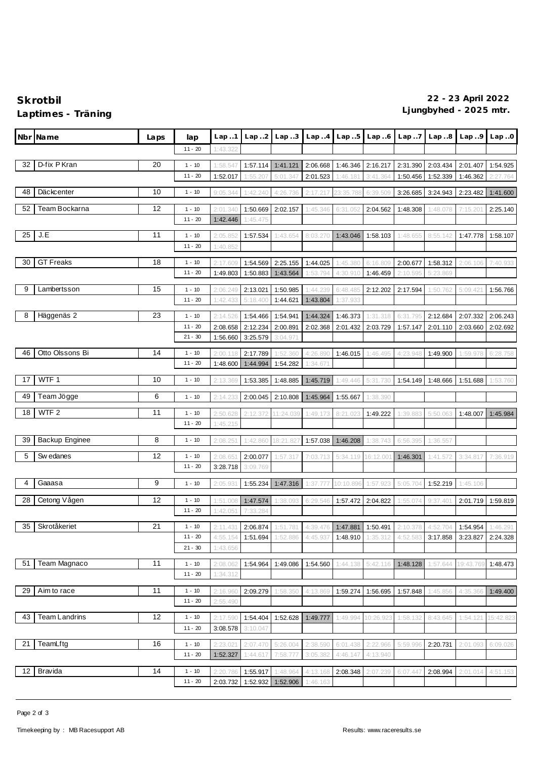## **Ljungbyhed - 2025 mtr. Laptimes - Träning**

| Nbr | Name             | Laps | lap                   | Lap.1                | Lap.2                | Lap.3     | Lap. .4  | Lap.5     | Lap.6                                                                            | Lap.7    | Lap. .8  | Lap.9     | Lap.0     |
|-----|------------------|------|-----------------------|----------------------|----------------------|-----------|----------|-----------|----------------------------------------------------------------------------------|----------|----------|-----------|-----------|
|     |                  |      | $11 - 20$             | 1:43.322             |                      |           |          |           |                                                                                  |          |          |           |           |
| 32  | D-fix P Kran     | 20   | $1 - 10$              | 1:58.547             | 1:57.114             | 1:41.121  | 2:06.668 | 1:46.346  | 2:16.217                                                                         | 2:31.390 | 2:03.434 | 2:01.407  | 1:54.925  |
|     |                  |      | $11 - 20$             | 1:52.017             | 1:55.20              | 5:01.347  | 2:01.523 | 1:46.18   | 3:41.364                                                                         | 1:50.456 | 1:52.339 | 1:46.362  | 2:27.764  |
| 48  | Däckcenter       | 10   | $1 - 10$              |                      | 1:42.240             |           | 2:17.217 | 23:35.788 | 6:39.509                                                                         |          | 3:24.943 | 2:23.482  |           |
|     |                  |      |                       | 9:05.344             |                      | 4:26.736  |          |           |                                                                                  | 3:26.685 |          |           | 1:41.600  |
| 52  | Team Bockarna    | 12   | $1 - 10$              | 2:01.340             | 1:50.669             | 2:02.157  | 1:45.346 | 6:31.052  | 2:04.562                                                                         | 1:48.308 | 1:48.078 | 7:15.20   | 2:25.140  |
|     |                  |      | $11 - 20$             | 1:42.446             | 1:45.475             |           |          |           |                                                                                  |          |          |           |           |
| 25  | J.E              | 11   | $1 - 10$              | 2:05.852             | 1:57.534             | 1:43.654  | 8:03.270 | 1:43.046  | 1:58.103                                                                         | 1:48.655 | 8:55.142 | 1:47.778  | 1:58.107  |
|     |                  |      | $11 - 20$             | 1:40.852             |                      |           |          |           |                                                                                  |          |          |           |           |
| 30  | <b>GT Freaks</b> | 18   | $1 - 10$              | 2:17.609             | 1:54.569             | 2:25.155  | 1:44.025 | 1:45.380  | 6:16.809                                                                         | 2:00.677 | 1:58.312 | 2:06.106  | 7:40.933  |
|     |                  |      | $11 - 20$             | 1:49.803             | 1:50.883             | 1:43.564  | 1:53.794 | 4:30.910  | 1:46.459                                                                         | 2:10.595 | 5:23.869 |           |           |
| 9   | Lambertsson      | 15   | $1 - 10$              | 2:06.249             | 2:13.021             | 1:50.985  | :44.239  | 6:48.485  | 2:12.202                                                                         | 2:17.594 | 1:50.762 | 5:09.42   | 1:56.766  |
|     |                  |      | $11 - 20$             | 1:42.433             | 5:18.400             | 1:44.621  | 1:43.804 | 1:37.933  |                                                                                  |          |          |           |           |
| 8   | Häggenäs 2       | 23   | $1 - 10$              | 2:14.526             | 1:54.466             | 1:54.941  | 1:44.324 | 1:46.373  | 1:31.318                                                                         | 6:31.795 | 2:12.684 | 2:07.332  | 2:06.243  |
|     |                  |      | $11 - 20$             | 2:08.658             | 2:12.234             | 2:00.891  | 2:02.368 | 2:01.432  | 2:03.729                                                                         | 1:57.147 | 2:01.110 | 2:03.660  | 2:02.692  |
|     |                  |      | $21 - 30$             | 1:56.660             | 3:25.579             | 3:04.971  |          |           |                                                                                  |          |          |           |           |
| 46  | Otto Olssons Bi  | 14   | $1 - 10$              | 2:00.118             | 2:17.789             | 1:52.360  | 4:26.890 | 1:46.015  | 1:46.495                                                                         | 4:23.948 | 1:49.900 | 1:59.978  | 6:28.758  |
|     |                  |      | $11 - 20$             | 1:48.600             | 1:44.994             | 1:54.282  | 1:34.671 |           |                                                                                  |          |          |           |           |
|     |                  |      |                       |                      |                      |           |          |           |                                                                                  |          |          |           |           |
| 17  | WTF <sub>1</sub> | 10   | $1 - 10$              | 2:13.369             | 1:53.385             | 1:48.885  | 1:45.719 | 1:49.446  | 5:31.730                                                                         | 1:54.149 | 1:48.666 | 1:51.688  | 1:53.760  |
| 49  | Team Jögge       | 6    | $1 - 10$              | 2:14.233             | 2:00.045             | 2:10.808  | 1:45.964 | 1:55.667  | 1:38.390                                                                         |          |          |           |           |
| 18  | WTF <sub>2</sub> | 11   | $1 - 10$              | 2:50.628             | 2:12.372             | 11:24.039 | 1:49.173 | 8:21.02   | 1:49.222                                                                         | 1:39.88  | 5:50.063 | 1:48.007  | 1:45.984  |
|     |                  |      | $11 - 20$             | 1:45.215             |                      |           |          |           |                                                                                  |          |          |           |           |
| 39  | Backup Enginee   | 8    | $1 - 10$              | 2:08.251             | 1:42.860             | 18:21.82  | 1:57.038 | 1:46.208  | 1:38.743                                                                         | 6:56.395 | 1:36.557 |           |           |
|     |                  |      |                       |                      |                      |           |          |           |                                                                                  |          |          |           |           |
| 5   | Sw edanes        | 12   | $1 - 10$<br>$11 - 20$ | 2:08.651<br>3:28.718 | 2:00.077<br>3:09.769 | 1:57.317  | 7:03.713 | 5:34.119  | 16:12.00                                                                         | 1:46.301 | 1:41.572 | 3:34.817  | 7:36.919  |
|     |                  |      |                       |                      |                      |           |          |           |                                                                                  |          |          |           |           |
| 4   | Gaaasa           | 9    | $1 - 10$              | 2:05.93              | 1:55.234             | 1:47.316  | 1:37.777 | 10:10.896 | 1:57.923                                                                         | 5:05.704 | 1:52.219 | 1:45.106  |           |
| 28  | Cetong Vågen     | 12   | $1 - 10$              | 1:51.008             | 1:47.574             | 1:38.093  | 6:29.546 | 1:57.472  | 2:04.822                                                                         | 1:55.074 | 9:37.401 | 2:01.719  | 1:59.819  |
|     |                  |      | $11 - 20$             | 1:42.051             | 7:33.284             |           |          |           |                                                                                  |          |          |           |           |
| 35  | Skrotåkeriet     | 21   | $1 - 10$              | 2:11.431             |                      |           |          |           | 2:06.874 1:51.781 4:39.476 1:47.881 1:50.491 2:10.378 4:52.704 1:54.954 1:46.291 |          |          |           |           |
|     |                  |      | $11 - 20$             | 4:55.154             | 1:51.694             | 1:52.886  | 4:45.937 | 1:48.910  | 1:35.312                                                                         | 4:52.583 | 3:17.858 | 3:23.827  | 2:24.328  |
|     |                  |      | $21 - 30$             | 1:43.656             |                      |           |          |           |                                                                                  |          |          |           |           |
| 51  | Team Magnaco     | 11   | $1 - 10$              | 2:08.062             | 1:54.964             | 1:49.086  | 1:54.560 | 1:44.138  | 5:42.116                                                                         | 1:48.128 | 1:57.644 | 19:43.769 | 1:48.473  |
|     |                  |      | $11 - 20$             | 1:34.312             |                      |           |          |           |                                                                                  |          |          |           |           |
| 29  | Aim to race      | 11   | $1 - 10$              | 2:16.960             | 2:09.279             | 1:58.350  | 4:13.869 | 1:59.274  | 1:56.695                                                                         | 1:57.848 | 1:45.856 | 4:35.366  | 1:49.400  |
|     |                  |      | $11 - 20$             | 2:55.490             |                      |           |          |           |                                                                                  |          |          |           |           |
|     |                  |      |                       |                      |                      |           |          |           |                                                                                  |          |          |           |           |
| 43  | Team Landrins    | 12   | $1 - 10$<br>$11 - 20$ | 2:17.590             | 1:54.404             | 1:52.628  | 1:49.777 | 1:49.994  | 10:26.923                                                                        | 1:58.132 | 8:43.645 | 1:54.121  | 15:42.823 |
|     |                  |      |                       | 3:08.578             | 3:10.047             |           |          |           |                                                                                  |          |          |           |           |
| 21  | TeamLftg         | 16   | $1 - 10$              | 2:23.021             | 2:07.470             | 5:26.004  | 2:38.590 | 6:01.438  | 2:22.966                                                                         | 5:59.996 | 2:20.731 | 2:01.093  | 6:09.026  |
|     |                  |      | $11 - 20$             | 1:52.327             | 1:44.617             | 7:58.777  | 3:05.382 | 4:46.147  | 4:13.940                                                                         |          |          |           |           |
| 12  | Bravida          | 14   | $1 - 10$              | 2:20.786             | 1:55.917             | 1:48.964  | 4:13.168 | 2:08.348  | 2:07.239                                                                         | 6:07.447 | 2:08.994 | 2:01.014  | 4:51.153  |
|     |                  |      | $11 - 20$             | 2:03.732             | 1:52.932             | 1:52.906  | 1:46.163 |           |                                                                                  |          |          |           |           |